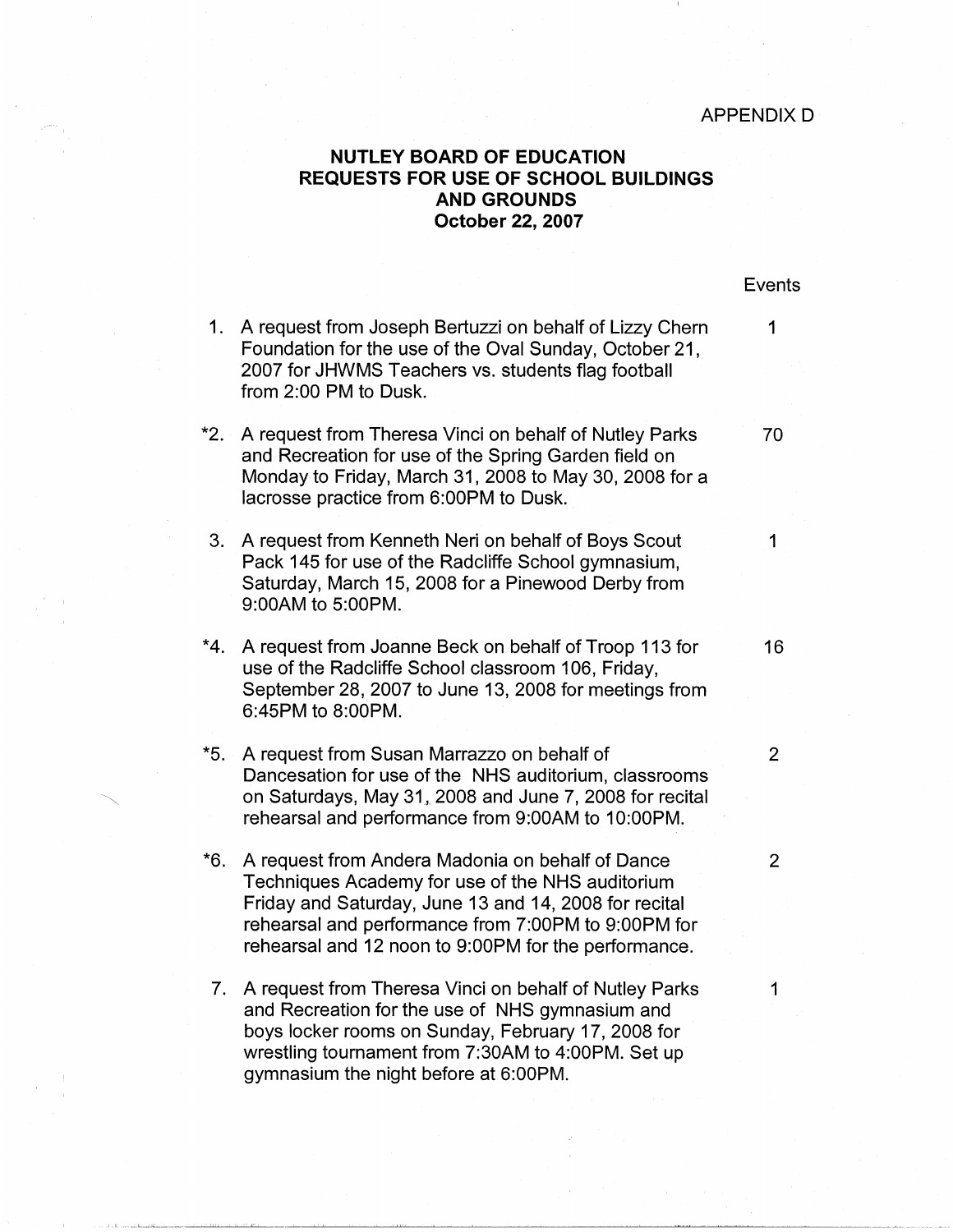Events

## **NUTLEY BOARD OF EDUCATION REQUESTS FOR USE OF SCHOOL BUILDINGS AND GROUNDS October 22, 2007**

1. A request from Joseph Bertuzzi on behalf of Lizzy Chern 1 \*2. A request from Theresa Vinci on behalf of Nutley Parks 70 3. A request from Kenneth Neri on behalf of Boys Scout 1 \*4. A request from Joanne Beck on behalf of Troop 113 for **16** \*5. A request from Susan Marrazzo on behalf of 2 \*6. A request from Andera Madonia on behalf of Dance 2 7. A request from Theresa Vinci on behalf of Nutley Parks 1 Foundation for the use of the Oval Sunday, October 21, 2007 for JHWMS Teachers vs. students flag football from 2:00 PM to Dusk. and Recreation for use of the Spring Garden field on Monday to Friday, March 31, 2008 to May 30, 2008 for a lacrosse practice from 6:00PM to Dusk. Pack 145 for use of the Radcliffe School gymnasium, Saturday, March 15, 2008 for a Pinewood Derby from 9:00AM to 5:00PM. use of the Radcliffe School classroom 106, Friday, September 28, 2007 to June 13, 2008 for meetings from 6:45PM to 8:00PM. Dancesation for use of the NHS auditorium, classrooms on Saturdays, May 31, 2008 and June 7, 2008 for recital rehearsal and performance from 9:00AM to 10:00PM. Techniques Academy for use of the NHS auditorium Friday and Saturday, June 13 and 14, 2008 for recital rehearsal and performance from 7:00PM to 9:00PM for rehearsal and 12 noon to 9:00PM for the performance. and Recreation for the use of NHS gymnasium and boys locker rooms on Sunday, February 17, 2008 for wrestling tournament from 7:30AM to 4:00PM. Set up

gymnasium the night before at 6:00PM.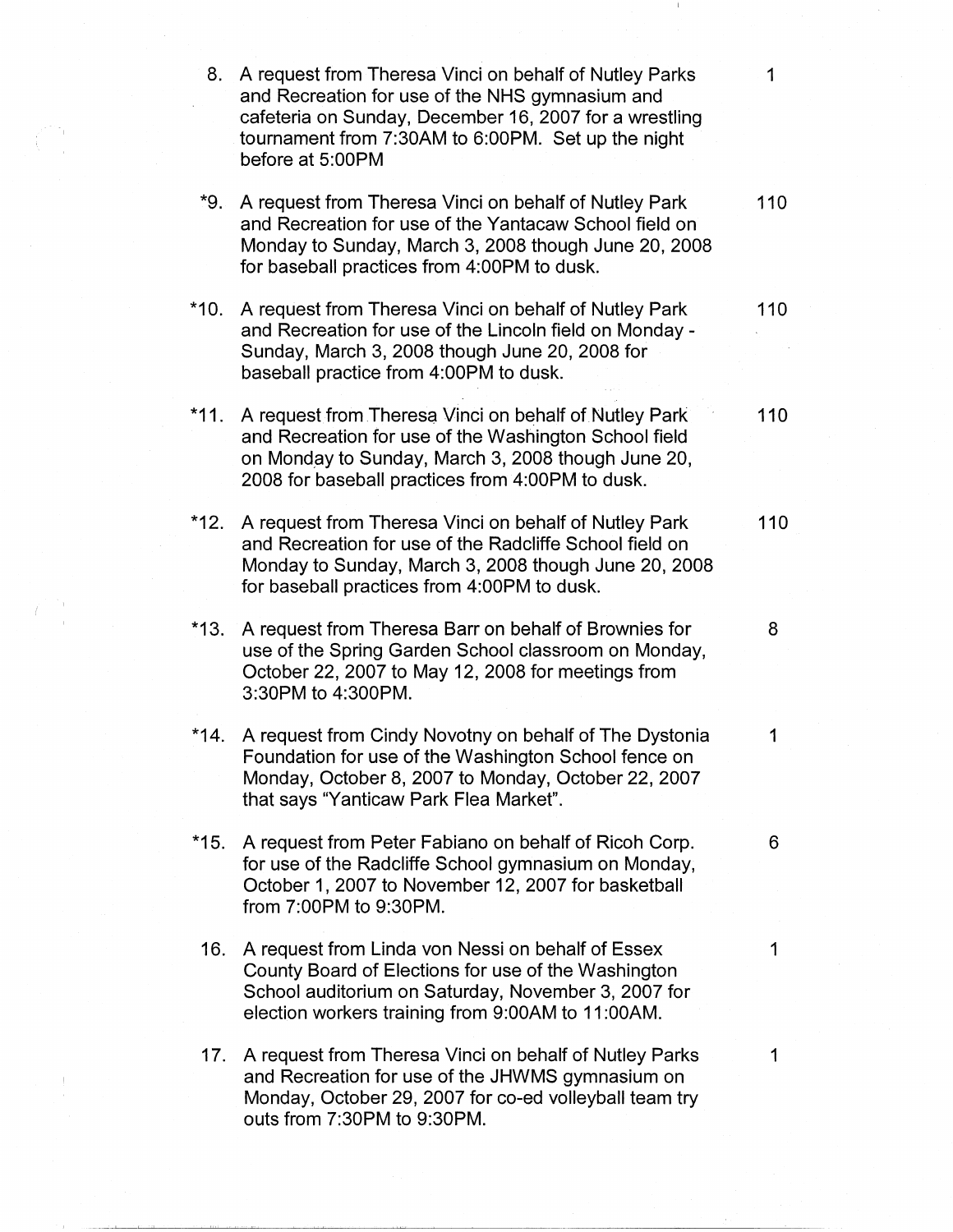| 8.     | A request from Theresa Vinci on behalf of Nutley Parks                                                                                                                                                                   | 1   |
|--------|--------------------------------------------------------------------------------------------------------------------------------------------------------------------------------------------------------------------------|-----|
|        | and Recreation for use of the NHS gymnasium and<br>cafeteria on Sunday, December 16, 2007 for a wrestling<br>tournament from 7:30AM to 6:00PM. Set up the night<br>before at 5:00PM                                      |     |
| *9.    | A request from Theresa Vinci on behalf of Nutley Park<br>and Recreation for use of the Yantacaw School field on<br>Monday to Sunday, March 3, 2008 though June 20, 2008<br>for baseball practices from 4:00PM to dusk.   | 110 |
| $*10.$ | A request from Theresa Vinci on behalf of Nutley Park<br>and Recreation for use of the Lincoln field on Monday -<br>Sunday, March 3, 2008 though June 20, 2008 for<br>baseball practice from 4:00PM to dusk.             | 110 |
| $*11.$ | A request from Theresa Vinci on behalf of Nutley Park<br>and Recreation for use of the Washington School field<br>on Monday to Sunday, March 3, 2008 though June 20,<br>2008 for baseball practices from 4:00PM to dusk. | 110 |
| *12.   | A request from Theresa Vinci on behalf of Nutley Park<br>and Recreation for use of the Radcliffe School field on<br>Monday to Sunday, March 3, 2008 though June 20, 2008<br>for baseball practices from 4:00PM to dusk.  | 110 |
| $*13.$ | A request from Theresa Barr on behalf of Brownies for<br>use of the Spring Garden School classroom on Monday,<br>October 22, 2007 to May 12, 2008 for meetings from<br>3:30PM to 4:300PM.                                | 8   |
| *14.   | A request from Cindy Novotny on behalf of The Dystonia<br>Foundation for use of the Washington School fence on<br>Monday, October 8, 2007 to Monday, October 22, 2007<br>that says "Yanticaw Park Flea Market".          | 1   |
| $*15.$ | A request from Peter Fabiano on behalf of Ricoh Corp.<br>for use of the Radcliffe School gymnasium on Monday,<br>October 1, 2007 to November 12, 2007 for basketball<br>from 7:00PM to 9:30PM.                           | 6   |
| 16.    | A request from Linda von Nessi on behalf of Essex<br>County Board of Elections for use of the Washington<br>School auditorium on Saturday, November 3, 2007 for<br>election workers training from 9:00AM to 11:00AM.     | 1   |
| 17.    | A request from Theresa Vinci on behalf of Nutley Parks<br>and Recreation for use of the JHWMS gymnasium on<br>Monday, October 29, 2007 for co-ed volleyball team try<br>outs from 7:30PM to 9:30PM.                      | 1   |

 $\begin{pmatrix} \frac{1}{2} & \frac{1}{2} & \frac{1}{2} & \frac{1}{2} \\ \frac{1}{2} & \frac{1}{2} & \frac{1}{2} & \frac{1}{2} \\ \frac{1}{2} & \frac{1}{2} & \frac{1}{2} & \frac{1}{2} \end{pmatrix}$ 

 $\int_{0}^{\infty}\frac{2\pi}{\sqrt{2}}\left(\frac{1}{\sqrt{2}}\right)^{2}dx\leq\frac{1}{2\sqrt{2}}\frac{1}{2\sqrt{2}}\,.$ 

 $\begin{array}{l} \frac{1}{2} \left( \begin{array}{cc} 1 & 0 \\ 0 & 1 \end{array} \right) & \text{if} \quad \frac{1}{2} \left( \begin{array}{cc} 1 & 0 \\ 0 & 1 \end{array} \right) & \text{if} \quad \frac{1}{2} \left( \begin{array}{cc} 1 & 0 \\ 0 & 1 \end{array} \right) & \text{if} \quad \frac{1}{2} \left( \begin{array}{cc} 1 & 0 \\ 0 & 1 \end{array} \right) & \text{if} \quad \frac{1}{2} \left( \begin{array}{cc} 1 & 0 \\ 0 & 1 \end{array} \right) &$ 

 $\sim 1$ 

 $\mathcal{S}_{\mathcal{S}}$